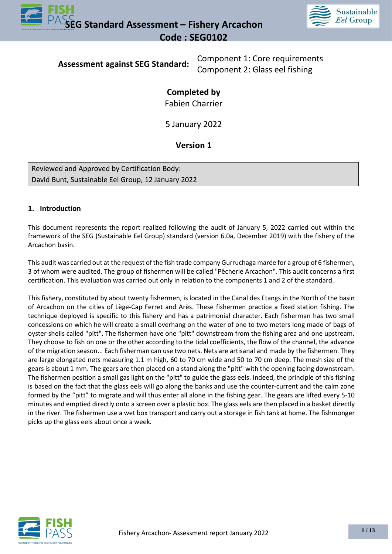



**Assessment against SEG Standard:** Component 1: Core requirements Component 2: Glass eel fishing

# **Completed by**

Fabien Charrier

5 January 2022

## **Version 1**

Reviewed and Approved by Certification Body: David Bunt, Sustainable Eel Group, 12 January 2022

## **1. Introduction**

This document represents the report realized following the audit of January 5, 2022 carried out within the framework of the SEG (Sustainable Eel Group) standard (version 6.0a, December 2019) with the fishery of the Arcachon basin.

This audit was carried out at the request of the fish trade company Gurruchaga marée for a group of 6 fishermen, 3 of whom were audited. The group of fishermen will be called "Pêcherie Arcachon". This audit concerns a first certification. This evaluation was carried out only in relation to the components 1 and 2 of the standard.

This fishery, constituted by about twenty fishermen, is located in the Canal des Etangs in the North of the basin of Arcachon on the cities of Lège-Cap Ferret and Arès. These fishermen practice a fixed station fishing. The technique deployed is specific to this fishery and has a patrimonial character. Each fisherman has two small concessions on which he will create a small overhang on the water of one to two meters long made of bags of oyster shells called "pitt". The fishermen have one "pitt" downstream from the fishing area and one upstream. They choose to fish on one or the other according to the tidal coefficients, the flow of the channel, the advance of the migration season... Each fisherman can use two nets. Nets are artisanal and made by the fishermen. They are large elongated nets measuring 1.1 m high, 60 to 70 cm wide and 50 to 70 cm deep. The mesh size of the gears is about 1 mm. The gears are then placed on a stand along the "pitt" with the opening facing downstream. The fishermen position a small gas light on the "pitt" to guide the glass eels. Indeed, the principle of this fishing is based on the fact that the glass eels will go along the banks and use the counter-current and the calm zone formed by the "pitt" to migrate and will thus enter all alone in the fishing gear. The gears are lifted every 5-10 minutes and emptied directly onto a screen over a plastic box. The glass eels are then placed in a basket directly in the river. The fishermen use a wet box transport and carry out a storage in fish tank at home. The fishmonger picks up the glass eels about once a week.

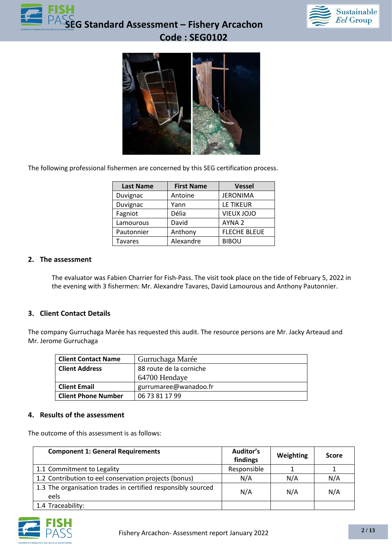







The following professional fishermen are concerned by this SEG certification process.

| <b>Last Name</b> | <b>First Name</b> | <b>Vessel</b>       |
|------------------|-------------------|---------------------|
| Duvignac         | Antoine           | <b>JERONIMA</b>     |
| Duvignac         | Yann              | LE TIKEUR           |
| Fagniot          | Délia             | VIEUX JOJO          |
| Lamourous        | David             | AYNA <sub>2</sub>   |
| Pautonnier       | Anthony           | <b>FLECHE BLEUE</b> |
| Tavares          | Alexandre         | <b>BIBOU</b>        |

#### **2. The assessment**

The evaluator was Fabien Charrier for Fish-Pass. The visit took place on the tide of February 5, 2022 in the evening with 3 fishermen: Mr. Alexandre Tavares, David Lamourous and Anthony Pautonnier.

### **3. Client Contact Details**

The company Gurruchaga Marée has requested this audit. The resource persons are Mr. Jacky Arteaud and Mr. Jerome Gurruchaga

| <b>Client Contact Name</b> | Gurruchaga Marée        |
|----------------------------|-------------------------|
| <b>Client Address</b>      | 88 route de la corniche |
|                            | 64700 Hendaye           |
| <b>Client Email</b>        | gurrumaree@wanadoo.fr   |
| <b>Client Phone Number</b> | 06 73 81 17 99          |

#### **4. Results of the assessment**

The outcome of this assessment is as follows:

| <b>Component 1: General Requirements</b>                             | Auditor's<br>findings | Weighting | <b>Score</b> |
|----------------------------------------------------------------------|-----------------------|-----------|--------------|
| 1.1 Commitment to Legality                                           | Responsible           |           |              |
| 1.2 Contribution to eel conservation projects (bonus)                | N/A                   | N/A       | N/A          |
| 1.3 The organisation trades in certified responsibly sourced<br>eels | N/A                   | N/A       | N/A          |
| 1.4 Traceability:                                                    |                       |           |              |

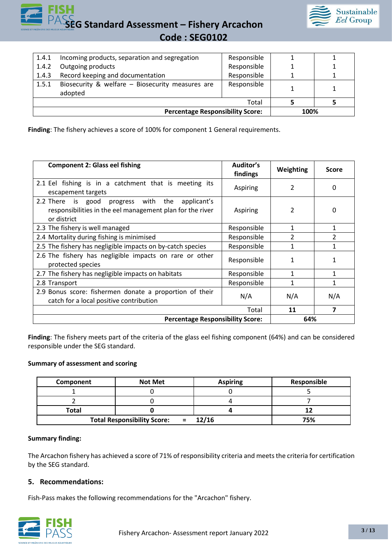

**SEG Standard Assessment – Fishery Arcachon Code : SEG0102** 

| 1.4.1 | Incoming products, separation and segregation               | Responsible |      |  |
|-------|-------------------------------------------------------------|-------------|------|--|
| 1.4.2 | Outgoing products                                           | Responsible |      |  |
| 1.4.3 | Record keeping and documentation                            | Responsible |      |  |
| 1.5.1 | Biosecurity & welfare - Biosecurity measures are<br>adopted | Responsible |      |  |
|       |                                                             | Total       |      |  |
|       | <b>Percentage Responsibility Score:</b>                     |             | 100% |  |

**Finding**: The fishery achieves a score of 100% for component 1 General requirements.

| <b>Component 2: Glass eel fishing</b>                                                                                                | Auditor's<br>findings | Weighting      | <b>Score</b>   |
|--------------------------------------------------------------------------------------------------------------------------------------|-----------------------|----------------|----------------|
| 2.1 Eel fishing is in a catchment that is meeting its<br>escapement targets                                                          | Aspiring              | 2              | 0              |
| progress with the<br>2.2 There<br>is good<br>applicant's<br>responsibilities in the eel management plan for the river<br>or district | Aspiring              | 2              | O              |
| 2.3 The fishery is well managed                                                                                                      | Responsible           | 1              | $\mathbf{1}$   |
| 2.4 Mortality during fishing is minimised                                                                                            | Responsible           | $\overline{2}$ | $\overline{2}$ |
| 2.5 The fishery has negligible impacts on by-catch species                                                                           | Responsible           | $\mathbf{1}$   | 1              |
| 2.6 The fishery has negligible impacts on rare or other<br>protected species                                                         | Responsible           | 1              |                |
| 2.7 The fishery has negligible impacts on habitats                                                                                   | Responsible           | 1              | 1              |
| 2.8 Transport                                                                                                                        | Responsible           |                |                |
| 2.9 Bonus score: fishermen donate a proportion of their<br>catch for a local positive contribution                                   | N/A                   | N/A            | N/A            |
|                                                                                                                                      | Total                 | 11             | 7              |
| <b>Percentage Responsibility Score:</b>                                                                                              |                       | 64%            |                |

**Finding**: The fishery meets part of the criteria of the glass eel fishing component (64%) and can be considered responsible under the SEG standard.

#### **Summary of assessment and scoring**

| Component    | <b>Not Met</b>                                 | <b>Aspiring</b> | Responsible |
|--------------|------------------------------------------------|-----------------|-------------|
|              |                                                |                 |             |
|              |                                                |                 |             |
| <b>Total</b> |                                                |                 |             |
|              | <b>Total Responsibility Score:</b><br>$\equiv$ | 12/16           | 75%         |

#### **Summary finding:**

The Arcachon fishery has achieved a score of 71% of responsibility criteria and meets the criteria for certification by the SEG standard.

#### **5. Recommendations:**

Fish-Pass makes the following recommendations for the "Arcachon" fishery.

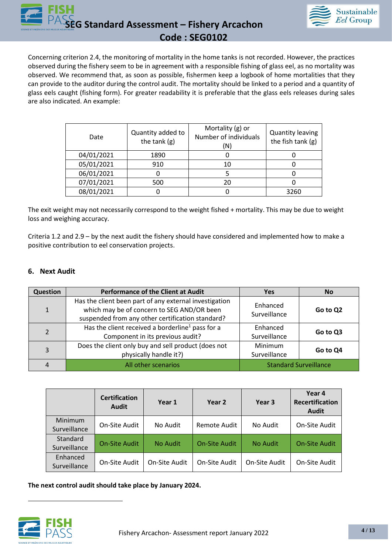



Concerning criterion 2.4, the monitoring of mortality in the home tanks is not recorded. However, the practices observed during the fishery seem to be in agreement with a responsible fishing of glass eel, as no mortality was observed. We recommend that, as soon as possible, fishermen keep a logbook of home mortalities that they can provide to the auditor during the control audit. The mortality should be linked to a period and a quantity of glass eels caught (fishing form). For greater readability it is preferable that the glass eels releases during sales are also indicated. An example:

| Date       | Quantity added to<br>the tank $(g)$ | Mortality (g) or<br>Number of individuals<br>(N) | <b>Quantity leaving</b><br>the fish tank $(g)$ |
|------------|-------------------------------------|--------------------------------------------------|------------------------------------------------|
| 04/01/2021 | 1890                                |                                                  |                                                |
| 05/01/2021 | 910                                 |                                                  |                                                |
| 06/01/2021 |                                     |                                                  |                                                |
| 07/01/2021 | 500                                 | 20                                               |                                                |
| 08/01/2021 |                                     |                                                  | 3260                                           |

The exit weight may not necessarily correspond to the weight fished + mortality. This may be due to weight loss and weighing accuracy.

Criteria 1.2 and 2.9 – by the next audit the fishery should have considered and implemented how to make a positive contribution to eel conservation projects.

## **6. Next Audit**

| Question      | <b>Performance of the Client at Audit</b>                                                                                                                | <b>Yes</b>                   | No       |
|---------------|----------------------------------------------------------------------------------------------------------------------------------------------------------|------------------------------|----------|
| 1             | Has the client been part of any external investigation<br>which may be of concern to SEG AND/OR been<br>suspended from any other certification standard? | Enhanced<br>Surveillance     | Go to Q2 |
| $\mathcal{P}$ | Has the client received a borderline <sup>1</sup> pass for a<br>Component in its previous audit?                                                         | Enhanced<br>Surveillance     | Go to Q3 |
| 3             | Does the client only buy and sell product (does not<br>physically handle it?)                                                                            | Minimum<br>Surveillance      | Go to Q4 |
|               | All other scenarios                                                                                                                                      | <b>Standard Surveillance</b> |          |

|                                | <b>Certification</b><br><b>Audit</b> | Year 1        | Year <sub>2</sub>    | Year 3          | Year 4<br><b>Recertification</b><br><b>Audit</b> |
|--------------------------------|--------------------------------------|---------------|----------------------|-----------------|--------------------------------------------------|
| <b>Minimum</b><br>Surveillance | On-Site Audit                        | No Audit      | Remote Audit         | No Audit        | On-Site Audit                                    |
| Standard<br>Surveillance       | <b>On-Site Audit</b>                 | No Audit      | <b>On-Site Audit</b> | <b>No Audit</b> | <b>On-Site Audit</b>                             |
| Enhanced<br>Surveillance       | On-Site Audit                        | On-Site Audit | On-Site Audit        | On-Site Audit   | On-Site Audit                                    |

**The next control audit should take place by January 2024.**

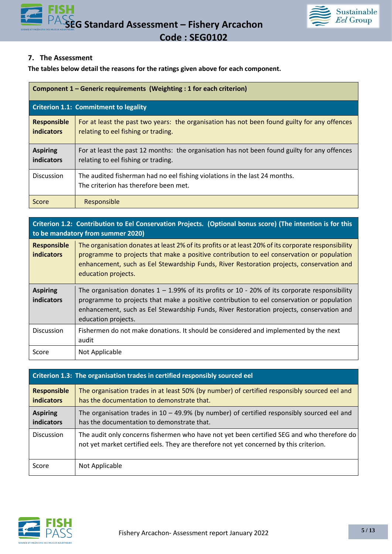



## **7. The Assessment**

**The tables below detail the reasons for the ratings given above for each component.**

|                                         | Component 1 – Generic requirements (Weighting: 1 for each criterion)                                                                |  |  |
|-----------------------------------------|-------------------------------------------------------------------------------------------------------------------------------------|--|--|
|                                         | <b>Criterion 1.1: Commitment to legality</b>                                                                                        |  |  |
| <b>Responsible</b><br><b>indicators</b> | For at least the past two years: the organisation has not been found guilty for any offences<br>relating to eel fishing or trading. |  |  |
| <b>Aspiring</b><br>indicators           | For at least the past 12 months: the organisation has not been found guilty for any offences<br>relating to eel fishing or trading. |  |  |
| <b>Discussion</b>                       | The audited fisherman had no eel fishing violations in the last 24 months.<br>The criterion has therefore been met.                 |  |  |
| Score                                   | Responsible                                                                                                                         |  |  |

# **Criterion 1.2: Contribution to Eel Conservation Projects. (Optional bonus score) (The intention is for this to be mandatory from summer 2020)**

| <b>Responsible</b><br><b>indicators</b> | The organisation donates at least 2% of its profits or at least 20% of its corporate responsibility<br>programme to projects that make a positive contribution to eel conservation or population<br>enhancement, such as Eel Stewardship Funds, River Restoration projects, conservation and<br>education projects. |
|-----------------------------------------|---------------------------------------------------------------------------------------------------------------------------------------------------------------------------------------------------------------------------------------------------------------------------------------------------------------------|
| <b>Aspiring</b><br>indicators           | The organisation donates $1 - 1.99\%$ of its profits or 10 - 20% of its corporate responsibility<br>programme to projects that make a positive contribution to eel conservation or population<br>enhancement, such as Eel Stewardship Funds, River Restoration projects, conservation and<br>education projects.    |
| <b>Discussion</b>                       | Fishermen do not make donations. It should be considered and implemented by the next<br>audit                                                                                                                                                                                                                       |
| Score                                   | Not Applicable                                                                                                                                                                                                                                                                                                      |

|                                         | Criterion 1.3: The organisation trades in certified responsibly sourced eel                                                                                                          |
|-----------------------------------------|--------------------------------------------------------------------------------------------------------------------------------------------------------------------------------------|
| <b>Responsible</b><br><b>indicators</b> | The organisation trades in at least 50% (by number) of certified responsibly sourced eel and<br>has the documentation to demonstrate that.                                           |
| <b>Aspiring</b><br>indicators           | The organisation trades in $10 - 49.9\%$ (by number) of certified responsibly sourced eel and<br>has the documentation to demonstrate that.                                          |
| <b>Discussion</b>                       | The audit only concerns fishermen who have not yet been certified SEG and who therefore do<br>not yet market certified eels. They are therefore not yet concerned by this criterion. |
| Score                                   | Not Applicable                                                                                                                                                                       |

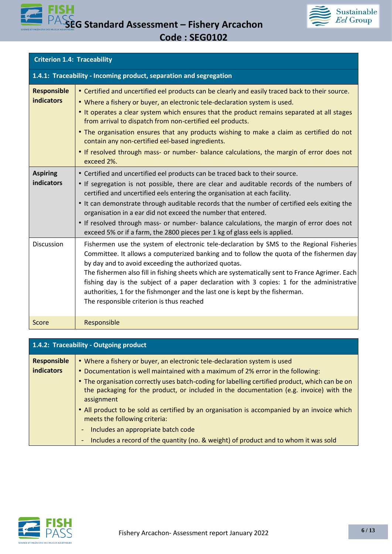

| <b>Criterion 1.4: Traceability</b>      |                                                                                                                                                                                                                                                                                                                                                                                                                                                                                                                                                                                                      |
|-----------------------------------------|------------------------------------------------------------------------------------------------------------------------------------------------------------------------------------------------------------------------------------------------------------------------------------------------------------------------------------------------------------------------------------------------------------------------------------------------------------------------------------------------------------------------------------------------------------------------------------------------------|
|                                         | 1.4.1: Traceability - Incoming product, separation and segregation                                                                                                                                                                                                                                                                                                                                                                                                                                                                                                                                   |
| <b>Responsible</b><br><b>indicators</b> | • Certified and uncertified eel products can be clearly and easily traced back to their source.<br>. Where a fishery or buyer, an electronic tele-declaration system is used.<br>• It operates a clear system which ensures that the product remains separated at all stages<br>from arrival to dispatch from non-certified eel products.<br>• The organisation ensures that any products wishing to make a claim as certified do not<br>contain any non-certified eel-based ingredients.<br>• If resolved through mass- or number- balance calculations, the margin of error does not<br>exceed 2%. |
| <b>Aspiring</b><br>indicators           | • Certified and uncertified eel products can be traced back to their source.<br>• If segregation is not possible, there are clear and auditable records of the numbers of<br>certified and uncertified eels entering the organisation at each facility.<br>. It can demonstrate through auditable records that the number of certified eels exiting the<br>organisation in a ear did not exceed the number that entered.<br>• If resolved through mass- or number- balance calculations, the margin of error does not<br>exceed 5% or if a farm, the 2800 pieces per 1 kg of glass eels is applied.  |
| <b>Discussion</b>                       | Fishermen use the system of electronic tele-declaration by SMS to the Regional Fisheries<br>Committee. It allows a computerized banking and to follow the quota of the fishermen day<br>by day and to avoid exceeding the authorized quotas.<br>The fishermen also fill in fishing sheets which are systematically sent to France Agrimer. Each<br>fishing day is the subject of a paper declaration with 3 copies: 1 for the administrative<br>authorities, 1 for the fishmonger and the last one is kept by the fisherman.<br>The responsible criterion is thus reached                            |
| Score                                   | Responsible                                                                                                                                                                                                                                                                                                                                                                                                                                                                                                                                                                                          |

| 1.4.2: Traceability - Outgoing product  |                                                                                                                                                                                                                                                                                                                                                                          |
|-----------------------------------------|--------------------------------------------------------------------------------------------------------------------------------------------------------------------------------------------------------------------------------------------------------------------------------------------------------------------------------------------------------------------------|
| <b>Responsible</b><br><b>indicators</b> | • Where a fishery or buyer, an electronic tele-declaration system is used<br>• Documentation is well maintained with a maximum of 2% error in the following:<br>• The organisation correctly uses batch-coding for labelling certified product, which can be on<br>the packaging for the product, or included in the documentation (e.g. invoice) with the<br>assignment |
|                                         | • All product to be sold as certified by an organisation is accompanied by an invoice which<br>meets the following criteria:<br>Includes an appropriate batch code<br>Includes a record of the quantity (no. & weight) of product and to whom it was sold                                                                                                                |

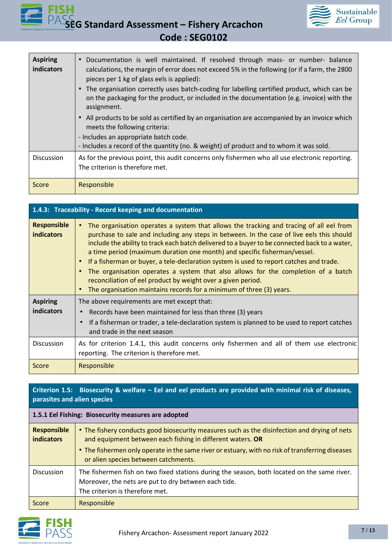



**SEG Standard Assessment – Fishery Arcachon Code : SEG0102** 

| <b>Aspiring</b><br>indicators | Documentation is well maintained. If resolved through mass- or number- balance<br>calculations, the margin of error does not exceed 5% in the following (or if a farm, the 2800<br>pieces per 1 kg of glass eels is applied):<br>• The organisation correctly uses batch-coding for labelling certified product, which can be<br>on the packaging for the product, or included in the documentation (e.g. invoice) with the<br>assignment. |
|-------------------------------|--------------------------------------------------------------------------------------------------------------------------------------------------------------------------------------------------------------------------------------------------------------------------------------------------------------------------------------------------------------------------------------------------------------------------------------------|
|                               | • All products to be sold as certified by an organisation are accompanied by an invoice which<br>meets the following criteria:                                                                                                                                                                                                                                                                                                             |
|                               | - Includes an appropriate batch code.<br>- Includes a record of the quantity (no. & weight) of product and to whom it was sold.                                                                                                                                                                                                                                                                                                            |
| <b>Discussion</b>             | As for the previous point, this audit concerns only fishermen who all use electronic reporting.<br>The criterion is therefore met.                                                                                                                                                                                                                                                                                                         |
| Score                         | Responsible                                                                                                                                                                                                                                                                                                                                                                                                                                |

| 1.4.3: Traceability - Record keeping and documentation |                                                                                                                                                                                                                                                                                                                                                                                                                                                                                                                                                                                                                                                                                            |
|--------------------------------------------------------|--------------------------------------------------------------------------------------------------------------------------------------------------------------------------------------------------------------------------------------------------------------------------------------------------------------------------------------------------------------------------------------------------------------------------------------------------------------------------------------------------------------------------------------------------------------------------------------------------------------------------------------------------------------------------------------------|
| <b>Responsible</b><br><b>indicators</b>                | The organisation operates a system that allows the tracking and tracing of all eel from<br>purchase to sale and including any steps in between. In the case of live eels this should<br>include the ability to track each batch delivered to a buyer to be connected back to a water,<br>a time period (maximum duration one month) and specific fisherman/vessel.<br>If a fisherman or buyer, a tele-declaration system is used to report catches and trade.<br>The organisation operates a system that also allows for the completion of a batch<br>reconciliation of eel product by weight over a given period.<br>The organisation maintains records for a minimum of three (3) years. |
| <b>Aspiring</b><br>indicators                          | The above requirements are met except that:<br>Records have been maintained for less than three (3) years<br>If a fisherman or trader, a tele-declaration system is planned to be used to report catches<br>and trade in the next season                                                                                                                                                                                                                                                                                                                                                                                                                                                   |
| <b>Discussion</b>                                      | As for criterion 1.4.1, this audit concerns only fishermen and all of them use electronic<br>reporting. The criterion is therefore met.                                                                                                                                                                                                                                                                                                                                                                                                                                                                                                                                                    |
| Score                                                  | Responsible                                                                                                                                                                                                                                                                                                                                                                                                                                                                                                                                                                                                                                                                                |

## **Criterion 1.5: Biosecurity & welfare – Eel and eel products are provided with minimal risk of diseases, parasites and alien species**

| 1.5.1 Eel Fishing: Biosecurity measures are adopted |                                                                                                                                                                                        |
|-----------------------------------------------------|----------------------------------------------------------------------------------------------------------------------------------------------------------------------------------------|
| <b>Responsible</b><br><b>indicators</b>             | • The fishery conducts good biosecurity measures such as the disinfection and drying of nets<br>and equipment between each fishing in different waters. OR                             |
|                                                     | • The fishermen only operate in the same river or estuary, with no risk of transferring diseases<br>or alien species between catchments.                                               |
| <b>Discussion</b>                                   | The fishermen fish on two fixed stations during the season, both located on the same river.<br>Moreover, the nets are put to dry between each tide.<br>The criterion is therefore met. |
| Score                                               | Responsible                                                                                                                                                                            |

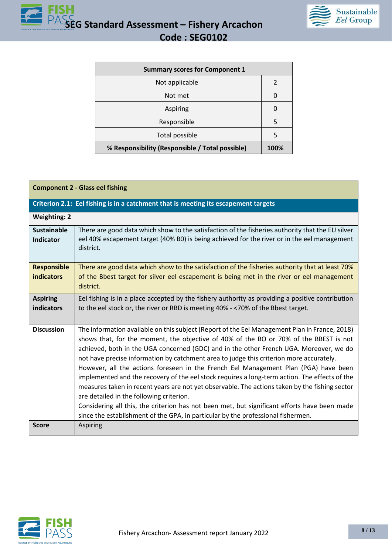



| <b>Summary scores for Component 1</b>           |      |
|-------------------------------------------------|------|
| Not applicable                                  |      |
| Not met                                         |      |
| Aspiring                                        |      |
| Responsible                                     | 5    |
| Total possible                                  | 5    |
| % Responsibility (Responsible / Total possible) | 100% |

| <b>Component 2 - Glass eel fishing</b>  |                                                                                                                                                                                                                                                                                                                                                                                                                                                                                                                                                                                                                                                                                                                                                                                                                                                                                                       |
|-----------------------------------------|-------------------------------------------------------------------------------------------------------------------------------------------------------------------------------------------------------------------------------------------------------------------------------------------------------------------------------------------------------------------------------------------------------------------------------------------------------------------------------------------------------------------------------------------------------------------------------------------------------------------------------------------------------------------------------------------------------------------------------------------------------------------------------------------------------------------------------------------------------------------------------------------------------|
|                                         | Criterion 2.1: Eel fishing is in a catchment that is meeting its escapement targets                                                                                                                                                                                                                                                                                                                                                                                                                                                                                                                                                                                                                                                                                                                                                                                                                   |
| <b>Weighting: 2</b>                     |                                                                                                                                                                                                                                                                                                                                                                                                                                                                                                                                                                                                                                                                                                                                                                                                                                                                                                       |
| <b>Sustainable</b><br><b>Indicator</b>  | There are good data which show to the satisfaction of the fisheries authority that the EU silver<br>eel 40% escapement target (40% B0) is being achieved for the river or in the eel management<br>district.                                                                                                                                                                                                                                                                                                                                                                                                                                                                                                                                                                                                                                                                                          |
| <b>Responsible</b><br><b>indicators</b> | There are good data which show to the satisfaction of the fisheries authority that at least 70%<br>of the Bbest target for silver eel escapement is being met in the river or eel management<br>district.                                                                                                                                                                                                                                                                                                                                                                                                                                                                                                                                                                                                                                                                                             |
| <b>Aspiring</b><br>indicators           | Eel fishing is in a place accepted by the fishery authority as providing a positive contribution<br>to the eel stock or, the river or RBD is meeting 40% - <70% of the Bbest target.                                                                                                                                                                                                                                                                                                                                                                                                                                                                                                                                                                                                                                                                                                                  |
| <b>Discussion</b>                       | The information available on this subject (Report of the Eel Management Plan in France, 2018)<br>shows that, for the moment, the objective of 40% of the BO or 70% of the BBEST is not<br>achieved, both in the UGA concerned (GDC) and in the other French UGA. Moreover, we do<br>not have precise information by catchment area to judge this criterion more accurately.<br>However, all the actions foreseen in the French Eel Management Plan (PGA) have been<br>implemented and the recovery of the eel stock requires a long-term action. The effects of the<br>measures taken in recent years are not yet observable. The actions taken by the fishing sector<br>are detailed in the following criterion.<br>Considering all this, the criterion has not been met, but significant efforts have been made<br>since the establishment of the GPA, in particular by the professional fishermen. |
| <b>Score</b>                            | <b>Aspiring</b>                                                                                                                                                                                                                                                                                                                                                                                                                                                                                                                                                                                                                                                                                                                                                                                                                                                                                       |

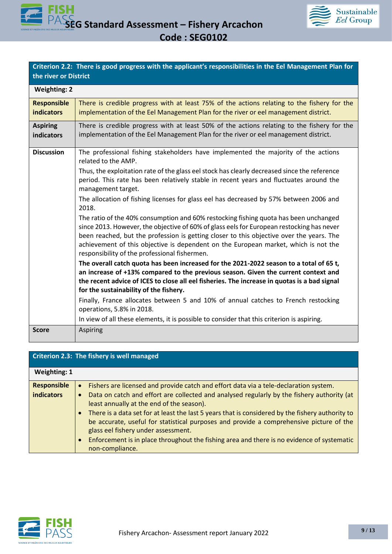| Criterion 2.2: There is good progress with the applicant's responsibilities in the Eel Management Plan for<br>the river or District |                                                                                                                                                                                                                                                                                                                                                                                                                       |  |
|-------------------------------------------------------------------------------------------------------------------------------------|-----------------------------------------------------------------------------------------------------------------------------------------------------------------------------------------------------------------------------------------------------------------------------------------------------------------------------------------------------------------------------------------------------------------------|--|
| <b>Weighting: 2</b>                                                                                                                 |                                                                                                                                                                                                                                                                                                                                                                                                                       |  |
| <b>Responsible</b><br><b>indicators</b>                                                                                             | There is credible progress with at least 75% of the actions relating to the fishery for the<br>implementation of the Eel Management Plan for the river or eel management district.                                                                                                                                                                                                                                    |  |
| <b>Aspiring</b><br>indicators                                                                                                       | There is credible progress with at least 50% of the actions relating to the fishery for the<br>implementation of the Eel Management Plan for the river or eel management district.                                                                                                                                                                                                                                    |  |
| <b>Discussion</b>                                                                                                                   | The professional fishing stakeholders have implemented the majority of the actions<br>related to the AMP.                                                                                                                                                                                                                                                                                                             |  |
|                                                                                                                                     | Thus, the exploitation rate of the glass eel stock has clearly decreased since the reference<br>period. This rate has been relatively stable in recent years and fluctuates around the<br>management target.                                                                                                                                                                                                          |  |
|                                                                                                                                     | The allocation of fishing licenses for glass eel has decreased by 57% between 2006 and<br>2018.                                                                                                                                                                                                                                                                                                                       |  |
|                                                                                                                                     | The ratio of the 40% consumption and 60% restocking fishing quota has been unchanged<br>since 2013. However, the objective of 60% of glass eels for European restocking has never<br>been reached, but the profession is getting closer to this objective over the years. The<br>achievement of this objective is dependent on the European market, which is not the<br>responsibility of the professional fishermen. |  |
|                                                                                                                                     | The overall catch quota has been increased for the 2021-2022 season to a total of 65 t,<br>an increase of +13% compared to the previous season. Given the current context and<br>the recent advice of ICES to close all eel fisheries. The increase in quotas is a bad signal<br>for the sustainability of the fishery.                                                                                               |  |
|                                                                                                                                     | Finally, France allocates between 5 and 10% of annual catches to French restocking<br>operations, 5.8% in 2018.                                                                                                                                                                                                                                                                                                       |  |
|                                                                                                                                     | In view of all these elements, it is possible to consider that this criterion is aspiring.                                                                                                                                                                                                                                                                                                                            |  |
| <b>Score</b>                                                                                                                        | <b>Aspiring</b>                                                                                                                                                                                                                                                                                                                                                                                                       |  |

| Criterion 2.3: The fishery is well managed |                                                                                                                                                                                                                                                                                                                                                                                                                                                                                                                                                                                                                                             |
|--------------------------------------------|---------------------------------------------------------------------------------------------------------------------------------------------------------------------------------------------------------------------------------------------------------------------------------------------------------------------------------------------------------------------------------------------------------------------------------------------------------------------------------------------------------------------------------------------------------------------------------------------------------------------------------------------|
| <b>Weighting: 1</b>                        |                                                                                                                                                                                                                                                                                                                                                                                                                                                                                                                                                                                                                                             |
| <b>Responsible</b><br><b>indicators</b>    | Fishers are licensed and provide catch and effort data via a tele-declaration system.<br>$\bullet$<br>Data on catch and effort are collected and analysed regularly by the fishery authority (at<br>$\bullet$<br>least annually at the end of the season).<br>There is a data set for at least the last 5 years that is considered by the fishery authority to<br>$\bullet$<br>be accurate, useful for statistical purposes and provide a comprehensive picture of the<br>glass eel fishery under assessment.<br>Enforcement is in place throughout the fishing area and there is no evidence of systematic<br>$\bullet$<br>non-compliance. |

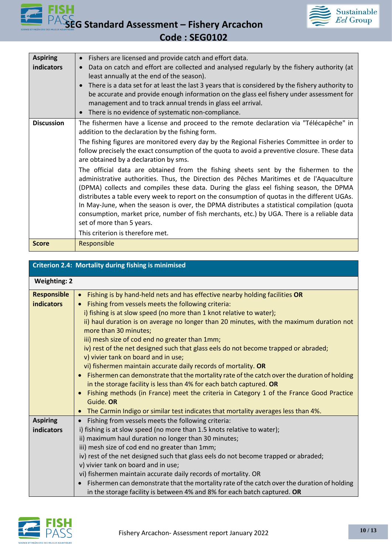



**SEG Standard Assessment – Fishery Arcachon Code : SEG0102** 

| <b>Aspiring</b><br>indicators | Fishers are licensed and provide catch and effort data.<br>$\bullet$<br>Data on catch and effort are collected and analysed regularly by the fishery authority (at<br>$\bullet$<br>least annually at the end of the season).<br>There is a data set for at least the last 3 years that is considered by the fishery authority to<br>be accurate and provide enough information on the glass eel fishery under assessment for<br>management and to track annual trends in glass eel arrival.<br>There is no evidence of systematic non-compliance.                                                                                                                                                                                                                                                                                                                                                                                                                                                                                |
|-------------------------------|----------------------------------------------------------------------------------------------------------------------------------------------------------------------------------------------------------------------------------------------------------------------------------------------------------------------------------------------------------------------------------------------------------------------------------------------------------------------------------------------------------------------------------------------------------------------------------------------------------------------------------------------------------------------------------------------------------------------------------------------------------------------------------------------------------------------------------------------------------------------------------------------------------------------------------------------------------------------------------------------------------------------------------|
| <b>Discussion</b>             | The fishermen have a license and proceed to the remote declaration via "Télécapêche" in<br>addition to the declaration by the fishing form.<br>The fishing figures are monitored every day by the Regional Fisheries Committee in order to<br>follow precisely the exact consumption of the quota to avoid a preventive closure. These data<br>are obtained by a declaration by sms.<br>The official data are obtained from the fishing sheets sent by the fishermen to the<br>administrative authorities. Thus, the Direction des Pêches Maritimes et de l'Aquaculture<br>(DPMA) collects and compiles these data. During the glass eel fishing season, the DPMA<br>distributes a table every week to report on the consumption of quotas in the different UGAs.<br>In May-June, when the season is over, the DPMA distributes a statistical compilation (quota<br>consumption, market price, number of fish merchants, etc.) by UGA. There is a reliable data<br>set of more than 5 years.<br>This criterion is therefore met. |
| <b>Score</b>                  | Responsible                                                                                                                                                                                                                                                                                                                                                                                                                                                                                                                                                                                                                                                                                                                                                                                                                                                                                                                                                                                                                      |

## **Criterion 2.4: Mortality during fishing is minimised**

| <b>Weighting: 2</b><br><b>Responsible</b><br>Fishing is by hand-held nets and has effective nearby holding facilities OR<br><b>indicators</b><br>Fishing from vessels meets the following criteria:<br>i) fishing is at slow speed (no more than 1 knot relative to water);<br>ii) haul duration is on average no longer than 20 minutes, with the maximum duration not<br>more than 30 minutes;<br>iii) mesh size of cod end no greater than 1mm;<br>iv) rest of the net designed such that glass eels do not become trapped or abraded;<br>v) vivier tank on board and in use; |
|----------------------------------------------------------------------------------------------------------------------------------------------------------------------------------------------------------------------------------------------------------------------------------------------------------------------------------------------------------------------------------------------------------------------------------------------------------------------------------------------------------------------------------------------------------------------------------|
|                                                                                                                                                                                                                                                                                                                                                                                                                                                                                                                                                                                  |
|                                                                                                                                                                                                                                                                                                                                                                                                                                                                                                                                                                                  |
|                                                                                                                                                                                                                                                                                                                                                                                                                                                                                                                                                                                  |
|                                                                                                                                                                                                                                                                                                                                                                                                                                                                                                                                                                                  |
|                                                                                                                                                                                                                                                                                                                                                                                                                                                                                                                                                                                  |
|                                                                                                                                                                                                                                                                                                                                                                                                                                                                                                                                                                                  |
|                                                                                                                                                                                                                                                                                                                                                                                                                                                                                                                                                                                  |
|                                                                                                                                                                                                                                                                                                                                                                                                                                                                                                                                                                                  |
|                                                                                                                                                                                                                                                                                                                                                                                                                                                                                                                                                                                  |
|                                                                                                                                                                                                                                                                                                                                                                                                                                                                                                                                                                                  |
| vi) fishermen maintain accurate daily records of mortality. OR                                                                                                                                                                                                                                                                                                                                                                                                                                                                                                                   |
| • Fishermen can demonstrate that the mortality rate of the catch over the duration of holding                                                                                                                                                                                                                                                                                                                                                                                                                                                                                    |
| in the storage facility is less than 4% for each batch captured. OR                                                                                                                                                                                                                                                                                                                                                                                                                                                                                                              |
| Fishing methods (in France) meet the criteria in Category 1 of the France Good Practice<br>$\bullet$                                                                                                                                                                                                                                                                                                                                                                                                                                                                             |
| Guide. OR                                                                                                                                                                                                                                                                                                                                                                                                                                                                                                                                                                        |
| The Carmin Indigo or similar test indicates that mortality averages less than 4%.<br>$\bullet$                                                                                                                                                                                                                                                                                                                                                                                                                                                                                   |
| <b>Aspiring</b><br>Fishing from vessels meets the following criteria:                                                                                                                                                                                                                                                                                                                                                                                                                                                                                                            |
| i) fishing is at slow speed (no more than 1.5 knots relative to water);<br>indicators                                                                                                                                                                                                                                                                                                                                                                                                                                                                                            |
| ii) maximum haul duration no longer than 30 minutes;                                                                                                                                                                                                                                                                                                                                                                                                                                                                                                                             |
| iii) mesh size of cod end no greater than 1mm;                                                                                                                                                                                                                                                                                                                                                                                                                                                                                                                                   |
| iv) rest of the net designed such that glass eels do not become trapped or abraded;                                                                                                                                                                                                                                                                                                                                                                                                                                                                                              |
| v) vivier tank on board and in use;                                                                                                                                                                                                                                                                                                                                                                                                                                                                                                                                              |
| vi) fishermen maintain accurate daily records of mortality. OR                                                                                                                                                                                                                                                                                                                                                                                                                                                                                                                   |
| Fishermen can demonstrate that the mortality rate of the catch over the duration of holding                                                                                                                                                                                                                                                                                                                                                                                                                                                                                      |
| in the storage facility is between 4% and 8% for each batch captured. OR                                                                                                                                                                                                                                                                                                                                                                                                                                                                                                         |

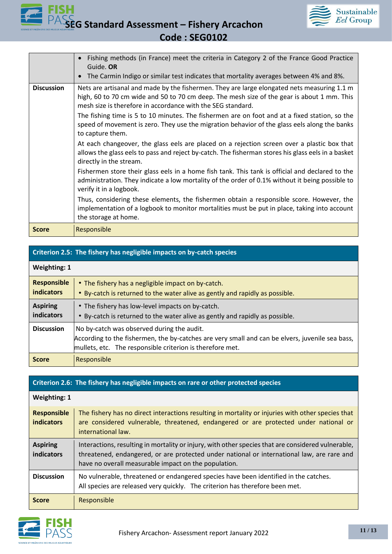



|                   | Fishing methods (in France) meet the criteria in Category 2 of the France Good Practice<br>Guide. OR                                                                                                                                                     |
|-------------------|----------------------------------------------------------------------------------------------------------------------------------------------------------------------------------------------------------------------------------------------------------|
|                   | The Carmin Indigo or similar test indicates that mortality averages between 4% and 8%.<br>$\bullet$                                                                                                                                                      |
| <b>Discussion</b> | Nets are artisanal and made by the fishermen. They are large elongated nets measuring 1.1 m<br>high, 60 to 70 cm wide and 50 to 70 cm deep. The mesh size of the gear is about 1 mm. This<br>mesh size is therefore in accordance with the SEG standard. |
|                   | The fishing time is 5 to 10 minutes. The fishermen are on foot and at a fixed station, so the<br>speed of movement is zero. They use the migration behavior of the glass eels along the banks<br>to capture them.                                        |
|                   | At each changeover, the glass eels are placed on a rejection screen over a plastic box that<br>allows the glass eels to pass and reject by-catch. The fisherman stores his glass eels in a basket<br>directly in the stream.                             |
|                   | Fishermen store their glass eels in a home fish tank. This tank is official and declared to the<br>administration. They indicate a low mortality of the order of 0.1% without it being possible to<br>verify it in a logbook.                            |
|                   | Thus, considering these elements, the fishermen obtain a responsible score. However, the<br>implementation of a logbook to monitor mortalities must be put in place, taking into account<br>the storage at home.                                         |
| <b>Score</b>      | Responsible                                                                                                                                                                                                                                              |

| Criterion 2.5: The fishery has negligible impacts on by-catch species |                                                                                                                                                                                                            |  |  |  |
|-----------------------------------------------------------------------|------------------------------------------------------------------------------------------------------------------------------------------------------------------------------------------------------------|--|--|--|
| <b>Weighting: 1</b>                                                   |                                                                                                                                                                                                            |  |  |  |
| <b>Responsible</b><br><b>indicators</b>                               | • The fishery has a negligible impact on by-catch.<br>• By-catch is returned to the water alive as gently and rapidly as possible.                                                                         |  |  |  |
| <b>Aspiring</b><br>indicators                                         | • The fishery has low-level impacts on by-catch.<br>• By-catch is returned to the water alive as gently and rapidly as possible.                                                                           |  |  |  |
| <b>Discussion</b>                                                     | No by-catch was observed during the audit.<br>According to the fishermen, the by-catches are very small and can be elvers, juvenile sea bass,<br>mullets, etc. The responsible criterion is therefore met. |  |  |  |
| <b>Score</b>                                                          | Responsible                                                                                                                                                                                                |  |  |  |

## **Criterion 2.6: The fishery has negligible impacts on rare or other protected species**

| Weighting: 1                            |                                                                                                                                                                                                                                                          |
|-----------------------------------------|----------------------------------------------------------------------------------------------------------------------------------------------------------------------------------------------------------------------------------------------------------|
| <b>Responsible</b><br><b>indicators</b> | The fishery has no direct interactions resulting in mortality or injuries with other species that<br>are considered vulnerable, threatened, endangered or are protected under national or<br>international law.                                          |
| <b>Aspiring</b><br>indicators           | Interactions, resulting in mortality or injury, with other species that are considered vulnerable,<br>threatened, endangered, or are protected under national or international law, are rare and<br>have no overall measurable impact on the population. |
| <b>Discussion</b>                       | No vulnerable, threatened or endangered species have been identified in the catches.<br>All species are released very quickly. The criterion has therefore been met.                                                                                     |
| <b>Score</b>                            | Responsible                                                                                                                                                                                                                                              |

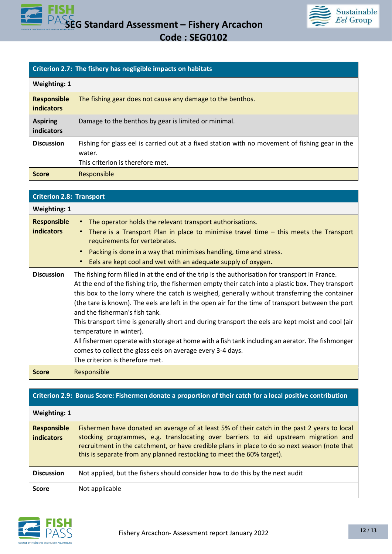

| Criterion 2.7: The fishery has negligible impacts on habitats |                                                                                                                                               |  |  |  |
|---------------------------------------------------------------|-----------------------------------------------------------------------------------------------------------------------------------------------|--|--|--|
| <b>Weighting: 1</b>                                           |                                                                                                                                               |  |  |  |
| <b>Responsible</b><br><b>indicators</b>                       | The fishing gear does not cause any damage to the benthos.                                                                                    |  |  |  |
| <b>Aspiring</b><br>indicators                                 | Damage to the benthos by gear is limited or minimal.                                                                                          |  |  |  |
| <b>Discussion</b>                                             | Fishing for glass eel is carried out at a fixed station with no movement of fishing gear in the<br>water.<br>This criterion is therefore met. |  |  |  |
| <b>Score</b>                                                  | Responsible                                                                                                                                   |  |  |  |

| <b>Criterion 2.8: Transport</b>         |                                                                                                                                                                                                                                                                                                                                                                                                                                                                                                                                                                                                                                                                                                                                                                                      |  |  |
|-----------------------------------------|--------------------------------------------------------------------------------------------------------------------------------------------------------------------------------------------------------------------------------------------------------------------------------------------------------------------------------------------------------------------------------------------------------------------------------------------------------------------------------------------------------------------------------------------------------------------------------------------------------------------------------------------------------------------------------------------------------------------------------------------------------------------------------------|--|--|
| <b>Weighting: 1</b>                     |                                                                                                                                                                                                                                                                                                                                                                                                                                                                                                                                                                                                                                                                                                                                                                                      |  |  |
| <b>Responsible</b><br><i>indicators</i> | The operator holds the relevant transport authorisations.<br>There is a Transport Plan in place to minimise travel time $-$ this meets the Transport<br>requirements for vertebrates.<br>Packing is done in a way that minimises handling, time and stress.                                                                                                                                                                                                                                                                                                                                                                                                                                                                                                                          |  |  |
|                                         | Eels are kept cool and wet with an adequate supply of oxygen.                                                                                                                                                                                                                                                                                                                                                                                                                                                                                                                                                                                                                                                                                                                        |  |  |
| <b>Discussion</b>                       | The fishing form filled in at the end of the trip is the authorisation for transport in France.<br>At the end of the fishing trip, the fishermen empty their catch into a plastic box. They transport<br>this box to the lorry where the catch is weighed, generally without transferring the container<br>(the tare is known). The eels are left in the open air for the time of transport between the port<br>land the fisherman's fish tank.<br>This transport time is generally short and during transport the eels are kept moist and cool (air<br>temperature in winter).<br>All fishermen operate with storage at home with a fish tank including an aerator. The fishmonger<br>comes to collect the glass eels on average every 3-4 days.<br>The criterion is therefore met. |  |  |
| <b>Score</b>                            | Responsible                                                                                                                                                                                                                                                                                                                                                                                                                                                                                                                                                                                                                                                                                                                                                                          |  |  |

## **Criterion 2.9: Bonus Score: Fishermen donate a proportion of their catch for a local positive contribution**

| Weighting: 1                            |                                                                                                                                                                                                                                                                                                                                                               |
|-----------------------------------------|---------------------------------------------------------------------------------------------------------------------------------------------------------------------------------------------------------------------------------------------------------------------------------------------------------------------------------------------------------------|
| <b>Responsible</b><br><b>indicators</b> | Fishermen have donated an average of at least 5% of their catch in the past 2 years to local<br>stocking programmes, e.g. translocating over barriers to aid upstream migration and<br>recruitment in the catchment, or have credible plans in place to do so next season (note that<br>this is separate from any planned restocking to meet the 60% target). |
| <b>Discussion</b>                       | Not applied, but the fishers should consider how to do this by the next audit                                                                                                                                                                                                                                                                                 |
| <b>Score</b>                            | Not applicable                                                                                                                                                                                                                                                                                                                                                |